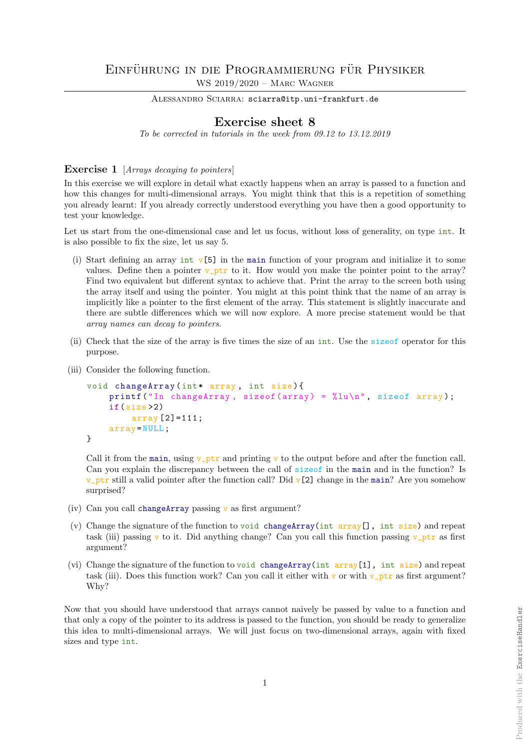## EINFÜHRUNG IN DIE PROGRAMMIERUNG FÜR PHYSIKER WS 2019/2020 – Marc Wagner

ALESSANDRO SCIARRA: sciarra@itp.uni-frankfurt.de

## Exercise sheet 8

To be corrected in tutorials in the week from 09.12 to 13.12.2019

## Exercise 1 [Arrays decaying to pointers]

In this exercise we will explore in detail what exactly happens when an array is passed to a function and how this changes for multi-dimensional arrays. You might think that this is a repetition of something you already learnt: If you already correctly understood everything you have then a good opportunity to test your knowledge.

Let us start from the one-dimensional case and let us focus, without loss of generality, on type int. It is also possible to fix the size, let us say 5.

- (i) Start defining an array int  $\nu$ [5] in the main function of your program and initialize it to some values. Define then a pointer  $v$ -ptr to it. How would you make the pointer point to the array? Find two equivalent but different syntax to achieve that. Print the array to the screen both using the array itself and using the pointer. You might at this point think that the name of an array is implicitly like a pointer to the first element of the array. This statement is slightly inaccurate and there are subtle differences which we will now explore. A more precise statement would be that array names can decay to pointers.
- (ii) Check that the size of the array is five times the size of an int. Use the sizeof operator for this purpose.
- (iii) Consider the following function.

```
void changeArray (int* array, int size) {
    printf ("In changeArray, sizeof (array) = \sqrt[n]{u\cdot n}, sizeof array);
    if(size >2)
         array [2] = 111;array = NULL ;
}
```
Call it from the main, using  $v$ -ptr and printing v to the output before and after the function call. Can you explain the discrepancy between the call of sizeof in the main and in the function? Is v\_ptr still a valid pointer after the function call? Did v[2] change in the main? Are you somehow surprised?

- (iv) Can you call changeArray passing  $v$  as first argument?
- (v) Change the signature of the function to void changeArray(int  $array[]$ , int size) and repeat task (iii) passing v to it. Did anything change? Can you call this function passing v\_ptr as first argument?
- (vi) Change the signature of the function to void changeArray(int  $array[1]$ , int size) and repeat task (iii). Does this function work? Can you call it either with v or with  $v$ -ptr as first argument? Why?

Now that you should have understood that arrays cannot naively be passed by value to a function and that only a copy of the pointer to its address is passed to the function, you should be ready to generalize this idea to multi-dimensional arrays. We will just focus on two-dimensional arrays, again with fixed sizes and type int.